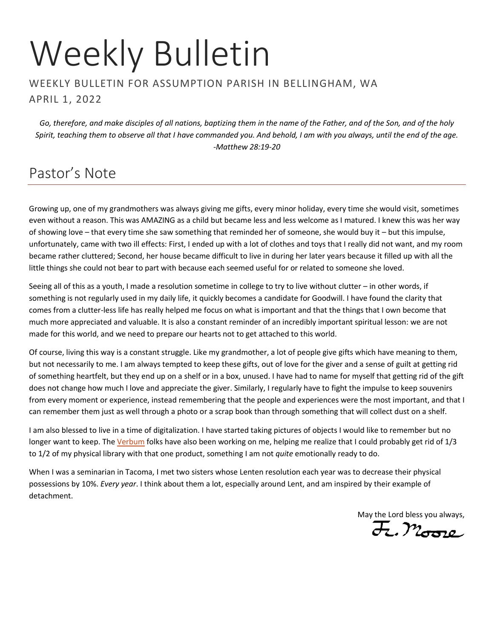# Weekly Bulletin

#### WEEKLY BULLETIN FOR ASSUMPTION PARISH IN BELLINGHAM, WA APRIL 1, 2022

*Go, therefore, and make disciples of all nations, baptizing them in the name of the Father, and of the Son, and of the holy Spirit, teaching them to observe all that I have commanded you. And behold, I am with you always, until the end of the age. -Matthew 28:19-20*

## Pastor's Note

Growing up, one of my grandmothers was always giving me gifts, every minor holiday, every time she would visit, sometimes even without a reason. This was AMAZING as a child but became less and less welcome as I matured. I knew this was her way of showing love – that every time she saw something that reminded her of someone, she would buy it – but this impulse, unfortunately, came with two ill effects: First, I ended up with a lot of clothes and toys that I really did not want, and my room became rather cluttered; Second, her house became difficult to live in during her later years because it filled up with all the little things she could not bear to part with because each seemed useful for or related to someone she loved.

Seeing all of this as a youth, I made a resolution sometime in college to try to live without clutter – in other words, if something is not regularly used in my daily life, it quickly becomes a candidate for Goodwill. I have found the clarity that comes from a clutter-less life has really helped me focus on what is important and that the things that I own become that much more appreciated and valuable. It is also a constant reminder of an incredibly important spiritual lesson: we are not made for this world, and we need to prepare our hearts not to get attached to this world.

Of course, living this way is a constant struggle. Like my grandmother, a lot of people give gifts which have meaning to them, but not necessarily to me. I am always tempted to keep these gifts, out of love for the giver and a sense of guilt at getting rid of something heartfelt, but they end up on a shelf or in a box, unused. I have had to name for myself that getting rid of the gift does not change how much I love and appreciate the giver. Similarly, I regularly have to fight the impulse to keep souvenirs from every moment or experience, instead remembering that the people and experiences were the most important, and that I can remember them just as well through a photo or a scrap book than through something that will collect dust on a shelf.

I am also blessed to live in a time of digitalization. I have started taking pictures of objects I would like to remember but no longer want to keep. The [Verbum](https://verbum.com/) folks have also been working on me, helping me realize that I could probably get rid of 1/3 to 1/2 of my physical library with that one product, something I am not *quite* emotionally ready to do.

When I was a seminarian in Tacoma, I met two sisters whose Lenten resolution each year was to decrease their physical possessions by 10%. *Every year*. I think about them a lot, especially around Lent, and am inspired by their example of detachment.

May the Lord bless you always,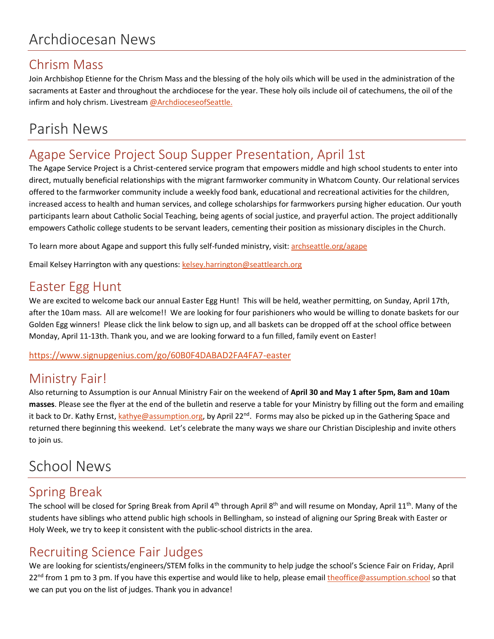#### Chrism Mass

Join Archbishop Etienne for the Chrism Mass and the blessing of the holy oils which will be used in the administration of the sacraments at Easter and throughout the archdiocese for the year. These holy oils include oil of catechumens, the oil of the infirm and holy chrism. Livestream [@ArchdioceseofSeattle.](https://vimeo.com/event/1883523)

# Parish News

#### Agape Service Project Soup Supper Presentation, April 1st

The Agape Service Project is a Christ-centered service program that empowers middle and high school students to enter into direct, mutually beneficial relationships with the migrant farmworker community in Whatcom County. Our relational services offered to the farmworker community include a weekly food bank, educational and recreational activities for the children, increased access to health and human services, and college scholarships for farmworkers pursing higher education. Our youth participants learn about Catholic Social Teaching, being agents of social justice, and prayerful action. The project additionally empowers Catholic college students to be servant leaders, cementing their position as missionary disciples in the Church.

To learn more about Agape and support this fully self-funded ministry, visit: [archseattle.org/agape](https://archseattle.org/agape)

Email Kelsey Harrington with any questions[: kelsey.harrington@seattlearch.org](mailto:kelsey.harrington@seattlearch.org)

#### Easter Egg Hunt

We are excited to welcome back our annual Easter Egg Hunt! This will be held, weather permitting, on Sunday, April 17th, after the 10am mass. All are welcome!! We are looking for four parishioners who would be willing to donate baskets for our Golden Egg winners! Please click the link below to sign up, and all baskets can be dropped off at the school office between Monday, April 11-13th. Thank you, and we are looking forward to a fun filled, family event on Easter!

<https://www.signupgenius.com/go/60B0F4DABAD2FA4FA7-easter>

#### Ministry Fair!

Also returning to Assumption is our Annual Ministry Fair on the weekend of **April 30 and May 1 after 5pm, 8am and 10am masses**. Please see the flyer at the end of the bulletin and reserve a table for your Ministry by filling out the form and emailing it back to Dr. Kathy Ernst[, kathye@assumption.org,](mailto:kathye@assumption.org) by April 22<sup>nd</sup>. Forms may also be picked up in the Gathering Space and returned there beginning this weekend. Let's celebrate the many ways we share our Christian Discipleship and invite others to join us.

## School News

### Spring Break

The school will be closed for Spring Break from April 4<sup>th</sup> through April 8<sup>th</sup> and will resume on Monday, April 11<sup>th</sup>. Many of the students have siblings who attend public high schools in Bellingham, so instead of aligning our Spring Break with Easter or Holy Week, we try to keep it consistent with the public-school districts in the area.

#### Recruiting Science Fair Judges

We are looking for scientists/engineers/STEM folks in the community to help judge the school's Science Fair on Friday, April 22<sup>nd</sup> from 1 pm to 3 pm. If you have this expertise and would like to help, please email [theoffice@assumption.school](mailto:theoffice@assumption.school) so that we can put you on the list of judges. Thank you in advance!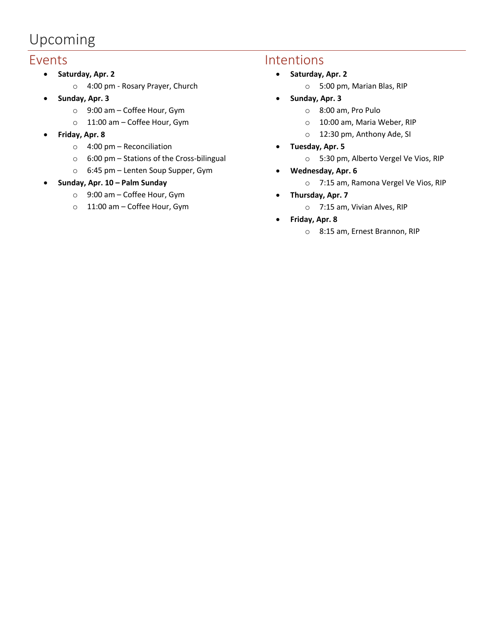## Upcoming

#### Events

- **Saturday, Apr. 2**
	- o 4:00 pm Rosary Prayer, Church
- **Sunday, Apr. 3**
	- o 9:00 am Coffee Hour, Gym
	- o 11:00 am Coffee Hour, Gym
- **Friday, Apr. 8**
	- o 4:00 pm Reconciliation
	- o 6:00 pm Stations of the Cross-bilingual
	- o 6:45 pm Lenten Soup Supper, Gym
- **Sunday, Apr. 10 – Palm Sunday**
	- o 9:00 am Coffee Hour, Gym
	- o 11:00 am Coffee Hour, Gym

#### Intentions

- **Saturday, Apr. 2**
	- o 5:00 pm, Marian Blas, RIP
- **Sunday, Apr. 3**
	- o 8:00 am, Pro Pulo
	- o 10:00 am, Maria Weber, RIP
	- o 12:30 pm, Anthony Ade, SI
- **Tuesday, Apr. 5**
	- o 5:30 pm, Alberto Vergel Ve Vios, RIP
- **Wednesday, Apr. 6**
	- o 7:15 am, Ramona Vergel Ve Vios, RIP
- **Thursday, Apr. 7**
	- o 7:15 am, Vivian Alves, RIP
- **Friday, Apr. 8**
	- o 8:15 am, Ernest Brannon, RIP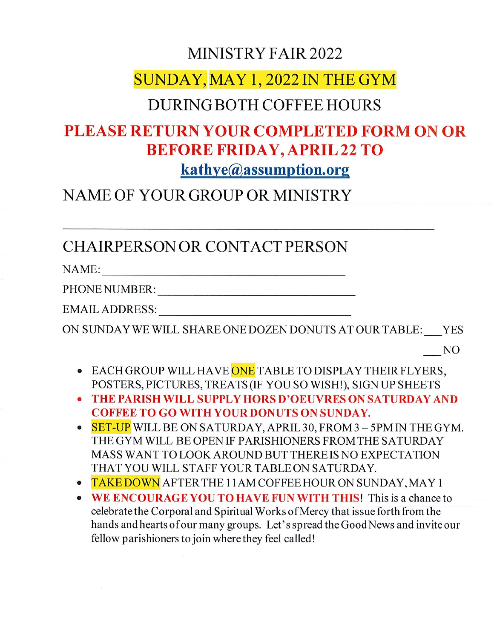### MINISTRY FAIR 2022

## SUNDAY, MAY 1, 2022 IN THE GYM

### **DURING BOTH COFFEE HOURS**

# **PLEASE RETURN YOUR COMPLETED FORM ON OR BEFORE FRIDAY, APRIL 22 TO**

kathye@assumption.org

## NAME OF YOUR GROUP OR MINISTRY

CHAIRPERSON OR CONTACT PERSON

NAME:

PHONE NUMBER:

EMAIL ADDRESS: The contract of the contract of the contract of the contract of the contract of the contract of the contract of the contract of the contract of the contract of the contract of the contract of the contract of

ON SUNDAY WE WILL SHARE ONE DOZEN DONUTS AT OUR TABLE: YES

NO.

- EACH GROUP WILL HAVE ONE TABLE TO DISPLAY THEIR FLYERS, POSTERS, PICTURES, TREATS (IF YOU SO WISH!), SIGN UP SHEETS
- THE PARISH WILL SUPPLY HORS D'OEUVRES ON SATURDAY AND **COFFEE TO GO WITH YOUR DONUTS ON SUNDAY.**
- SET-UP WILL BE ON SATURDAY, APRIL 30, FROM 3 5PM IN THE GYM. THE GYM WILL BE OPEN IF PARISHIONERS FROM THE SATURDAY MASS WANT TO LOOK AROUND BUT THERE IS NO EXPECTATION THAT YOU WILL STAFF YOUR TABLE ON SATURDAY.
- TAKE DOWN AFTER THE 11AM COFFEE HOUR ON SUNDAY, MAY 1
- WE ENCOURAGE YOU TO HAVE FUN WITH THIS! This is a chance to celebrate the Corporal and Spiritual Works of Mercy that issue forth from the hands and hearts of our many groups. Let's spread the Good News and invite our fellow parishioners to join where they feel called!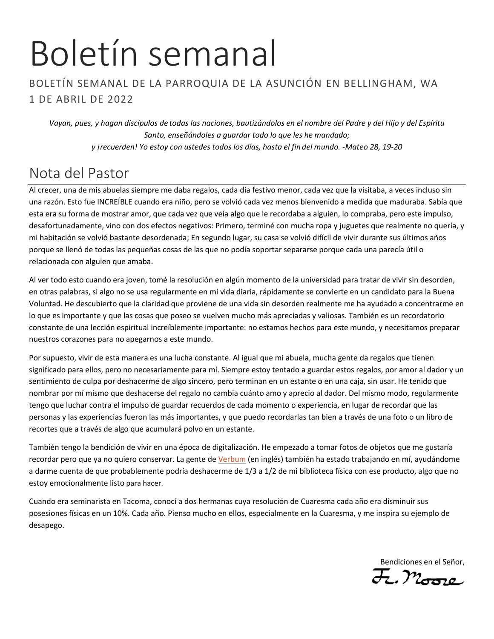# Boletín semanal

#### BOLETÍN SEMANAL DE LA PARROQUIA DE LA ASUNCIÓN EN BELLINGHAM, WA 1 DE ABRIL DE 2022

*Vayan, pues, y hagan discípulos de todas las naciones, bautizándolos en el nombre del Padre y del Hijo y del Espíritu Santo, enseñándoles a guardar todo lo que les he mandado; y ¡recuerden! Yo estoy con ustedes todos los días, hasta el fin del mundo. -Mateo 28, 19-20*

## Nota del Pastor

Al crecer, una de mis abuelas siempre me daba regalos, cada día festivo menor, cada vez que la visitaba, a veces incluso sin una razón. Esto fue INCREÍBLE cuando era niño, pero se volvió cada vez menos bienvenido a medida que maduraba. Sabía que esta era su forma de mostrar amor, que cada vez que veía algo que le recordaba a alguien, lo compraba, pero este impulso, desafortunadamente, vino con dos efectos negativos: Primero, terminé con mucha ropa y juguetes que realmente no quería, y mi habitación se volvió bastante desordenada; En segundo lugar, su casa se volvió difícil de vivir durante sus últimos años porque se llenó de todas las pequeñas cosas de las que no podía soportar separarse porque cada una parecía útil o relacionada con alguien que amaba.

Al ver todo esto cuando era joven, tomé la resolución en algún momento de la universidad para tratar de vivir sin desorden, en otras palabras, si algo no se usa regularmente en mi vida diaria, rápidamente se convierte en un candidato para la Buena Voluntad. He descubierto que la claridad que proviene de una vida sin desorden realmente me ha ayudado a concentrarme en lo que es importante y que las cosas que poseo se vuelven mucho más apreciadas y valiosas. También es un recordatorio constante de una lección espiritual increíblemente importante: no estamos hechos para este mundo, y necesitamos preparar nuestros corazones para no apegarnos a este mundo.

Por supuesto, vivir de esta manera es una lucha constante. Al igual que mi abuela, mucha gente da regalos que tienen significado para ellos, pero no necesariamente para mí. Siempre estoy tentado a guardar estos regalos, por amor al dador y un sentimiento de culpa por deshacerme de algo sincero, pero terminan en un estante o en una caja, sin usar. He tenido que nombrar por mí mismo que deshacerse del regalo no cambia cuánto amo y aprecio al dador. Del mismo modo, regularmente tengo que luchar contra el impulso de guardar recuerdos de cada momento o experiencia, en lugar de recordar que las personas y las experiencias fueron las más importantes, y que puedo recordarlas tan bien a través de una foto o un libro de recortes que a través de algo que acumulará polvo en un estante.

También tengo la bendición de vivir en una época de digitalización. He empezado a tomar fotos de objetos que me gustaría recordar pero que ya no quiero conservar. La gente d[e Verbum](https://verbum.com/) (en inglés) también ha estado trabajando en mí, ayudándome a darme cuenta de que probablemente podría deshacerme de 1/3 a 1/2 de mi biblioteca física con ese producto, algo que no estoy emocionalmente listo para hacer.

Cuando era seminarista en Tacoma, conocí a dos hermanas cuya resolución de Cuaresma cada año era disminuir sus posesiones físicas en un 10%. Cada año. Pienso mucho en ellos, especialmente en la Cuaresma, y me inspira su ejemplo de desapego.

Bendiciones en el Señor,<br>J. Moore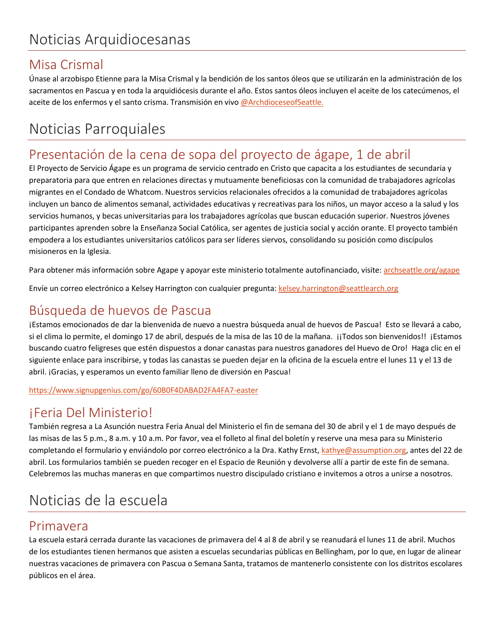#### Misa Crismal

Únase al arzobispo Etienne para la Misa Crismal y la bendición de los santos óleos que se utilizarán en la administración de los sacramentos en Pascua y en toda la arquidiócesis durante el año. Estos santos óleos incluyen el aceite de los catecúmenos, el aceite de los enfermos y el santo crisma. Transmisión en viv[o @ArchdioceseofSeattle.](https://vimeo.com/event/1883523)

# Noticias Parroquiales

#### Presentación de la cena de sopa del proyecto de ágape, 1 de abril

El Proyecto de Servicio Ágape es un programa de servicio centrado en Cristo que capacita a los estudiantes de secundaria y preparatoria para que entren en relaciones directas y mutuamente beneficiosas con la comunidad de trabajadores agrícolas migrantes en el Condado de Whatcom. Nuestros servicios relacionales ofrecidos a la comunidad de trabajadores agrícolas incluyen un banco de alimentos semanal, actividades educativas y recreativas para los niños, un mayor acceso a la salud y los servicios humanos, y becas universitarias para los trabajadores agrícolas que buscan educación superior. Nuestros jóvenes participantes aprenden sobre la Enseñanza Social Católica, ser agentes de justicia social y acción orante. El proyecto también empodera a los estudiantes universitarios católicos para ser líderes siervos, consolidando su posición como discípulos misioneros en la Iglesia.

Para obtener más información sobre Agape y apoyar este ministerio totalmente autofinanciado, visite: [archseattle.org/agape](https://archseattle.org/ministries/outreach-ministries/agape/)

Envíe un correo electrónico a Kelsey Harrington con cualquier pregunta: [kelsey.harrington@seattlearch.org](mailto:kelsey.harrington@seattlearch.org)

#### Búsqueda de huevos de Pascua

¡Estamos emocionados de dar la bienvenida de nuevo a nuestra búsqueda anual de huevos de Pascua! Esto se llevará a cabo, si el clima lo permite, el domingo 17 de abril, después de la misa de las 10 de la mañana. ¡¡Todos son bienvenidos!! ¡Estamos buscando cuatro feligreses que estén dispuestos a donar canastas para nuestros ganadores del Huevo de Oro! Haga clic en el siguiente enlace para inscribirse, y todas las canastas se pueden dejar en la oficina de la escuela entre el lunes 11 y el 13 de abril. ¡Gracias, y esperamos un evento familiar lleno de diversión en Pascua!

<https://www.signupgenius.com/go/60B0F4DABAD2FA4FA7-easter>

#### ¡Feria Del Ministerio!

También regresa a La Asunción nuestra Feria Anual del Ministerio el fin de semana del 30 de abril y el 1 de mayo después de las misas de las 5 p.m., 8 a.m. y 10 a.m. Por favor, vea el folleto al final del boletín y reserve una mesa para su Ministerio completando el formulario y enviándolo por correo electrónico a la Dra. Kathy Ernst[, kathye@assumption.org,](mailto:kathye@assumption.org) antes del 22 de abril. Los formularios también se pueden recoger en el Espacio de Reunión y devolverse allí a partir de este fin de semana. Celebremos las muchas maneras en que compartimos nuestro discipulado cristiano e invitemos a otros a unirse a nosotros.

# Noticias de la escuela

#### Primavera

La escuela estará cerrada durante las vacaciones de primavera del 4 al 8 de abril y se reanudará el lunes 11 de abril. Muchos de los estudiantes tienen hermanos que asisten a escuelas secundarias públicas en Bellingham, por lo que, en lugar de alinear nuestras vacaciones de primavera con Pascua o Semana Santa, tratamos de mantenerlo consistente con los distritos escolares públicos en el área.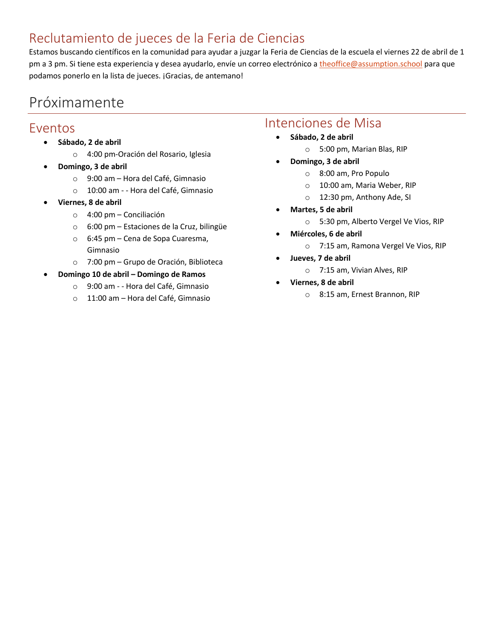#### Reclutamiento de jueces de la Feria de Ciencias

Estamos buscando científicos en la comunidad para ayudar a juzgar la Feria de Ciencias de la escuela el viernes 22 de abril de 1 pm a 3 pm. Si tiene esta experiencia y desea ayudarlo, envíe un correo electrónico a [theoffice@assumption.school](mailto:theoffice@assumption.school) para que podamos ponerlo en la lista de jueces. ¡Gracias, de antemano!

# Próximamente

#### Eventos

- **Sábado, 2 de abril**
	- o 4:00 pm-Oración del Rosario, Iglesia
- **Domingo, 3 de abril**
	- o 9:00 am Hora del Café, Gimnasio
	- o 10:00 am - Hora del Café, Gimnasio
- **Viernes, 8 de abril**
	- o 4:00 pm Conciliación
	- o 6:00 pm Estaciones de la Cruz, bilingüe
	- o 6:45 pm Cena de Sopa Cuaresma, Gimnasio
	- o 7:00 pm Grupo de Oración, Biblioteca
- **Domingo 10 de abril – Domingo de Ramos**
	- o 9:00 am - Hora del Café, Gimnasio
	- o 11:00 am Hora del Café, Gimnasio

#### Intenciones de Misa

- **Sábado, 2 de abril**
	- o 5:00 pm, Marian Blas, RIP
- **Domingo, 3 de abril**
	- o 8:00 am, Pro Populo
	- o 10:00 am, Maria Weber, RIP
	- o 12:30 pm, Anthony Ade, SI
- **Martes, 5 de abril**
	- o 5:30 pm, Alberto Vergel Ve Vios, RIP
- **Miércoles, 6 de abril**
	- o 7:15 am, Ramona Vergel Ve Vios, RIP
- **Jueves, 7 de abril**
	- o 7:15 am, Vivian Alves, RIP
- **Viernes, 8 de abril**
	- o 8:15 am, Ernest Brannon, RIP